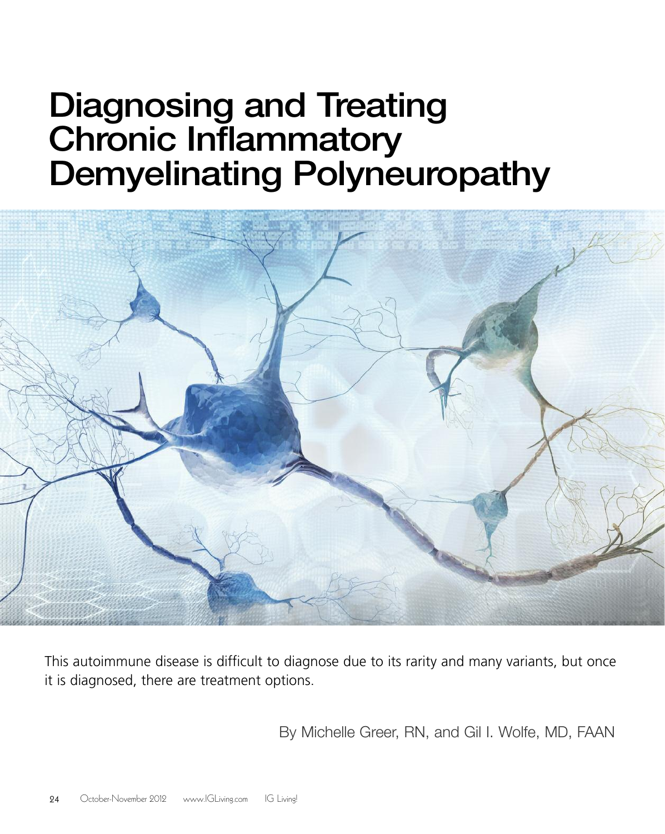# Diagnosing and Treating Chronic Inflammatory Demyelinating Polyneuropathy



This autoimmune disease is difficult to diagnose due to its rarity and many variants, but once it is diagnosed, there are treatment options.

By Michelle Greer, RN, and Gil I. Wolfe, MD, FAAN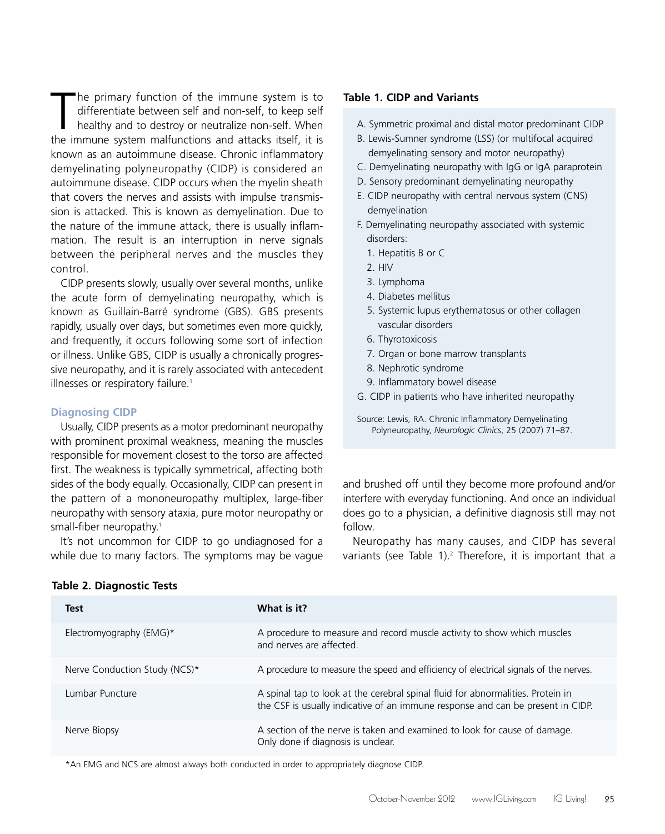The primary function of the immune system is to differentiate between self and non-self, to keep self healthy and to destroy or neutralize non-self. When the immune system malfunctions and attacks itself, it is he primary function of the immune system is to differentiate between self and non-self, to keep self healthy and to destroy or neutralize non-self. When known as an autoimmune disease. Chronic inflammatory demyelinating polyneuropathy (CIDP) is considered an autoimmune disease. CIDP occurs when the myelin sheath that covers the nerves and assists with impulse transmission is attacked. This is known as demyelination. Due to the nature of the immune attack, there is usually inflammation. The result is an interruption in nerve signals between the peripheral nerves and the muscles they control.

CIDP presents slowly, usually over several months, unlike the acute form of demyelinating neuropathy, which is known as Guillain-Barré syndrome (GBS). GBS presents rapidly, usually over days, but sometimes even more quickly, and frequently, it occurs following some sort of infection or illness. Unlike GBS, CIDP is usually a chronically progressive neuropathy, and it is rarely associated with antecedent illnesses or respiratory failure. 1

# **Diagnosing CIDP**

Usually, CIDP presents as a motor predominant neuropathy with prominent proximal weakness, meaning the muscles responsible for movement closest to the torso are affected first. The weakness is typically symmetrical, affecting both sides of the body equally. Occasionally, CIDP can present in the pattern of a mononeuropathy multiplex, large-fiber neuropathy with sensory ataxia, pure motor neuropathy or small-fiber neuropathy. 1

It's not uncommon for CIDP to go undiagnosed for a while due to many factors. The symptoms may be vague

## **Table 1. CIDP and Variants**

- A. Symmetric proximal and distal motor predominant CIDP
- B. Lewis-Sumner syndrome (LSS) (or multifocal acquired demyelinating sensory and motor neuropathy)
- C. Demyelinating neuropathy with IgG or IgA paraprotein
- D. Sensory predominant demyelinating neuropathy
- E. CIDP neuropathy with central nervous system (CNS) demyelination
- F. Demyelinating neuropathy associated with systemic disorders:
	- 1. Hepatitis B or C
	- 2. HIV
	- 3. Lymphoma
	- 4. Diabetes mellitus
	- 5. Systemic lupus erythematosus or other collagen vascular disorders
	- 6. Thyrotoxicosis
	- 7. Organ or bone marrow transplants
	- 8. Nephrotic syndrome
	- 9. Inflammatory bowel disease
- G. CIDP in patients who have inherited neuropathy
- Source: Lewis, RA. Chronic Inflammatory Demyelinating Polyneuropathy, *Neurologic Clinics*, 25 (2007) 71–87.

and brushed off until they become more profound and/or interfere with everyday functioning. And once an individual does go to a physician, a definitive diagnosis still may not follow.

Neuropathy has many causes, and CIDP has several variants (see Table 1). <sup>2</sup> Therefore, it is important that a

| <b>Test</b>                   | What is it?                                                                                                                                                        |
|-------------------------------|--------------------------------------------------------------------------------------------------------------------------------------------------------------------|
| Electromyography ( $EMG$ )*   | A procedure to measure and record muscle activity to show which muscles<br>and nerves are affected.                                                                |
| Nerve Conduction Study (NCS)* | A procedure to measure the speed and efficiency of electrical signals of the nerves.                                                                               |
| Lumbar Puncture               | A spinal tap to look at the cerebral spinal fluid for abnormalities. Protein in<br>the CSF is usually indicative of an immune response and can be present in CIDP. |
| Nerve Biopsy                  | A section of the nerve is taken and examined to look for cause of damage.<br>Only done if diagnosis is unclear.                                                    |

# **Table 2. Diagnostic Tests**

\*An EMG and NCS are almost always both conducted in order to appropriately diagnose CIDP.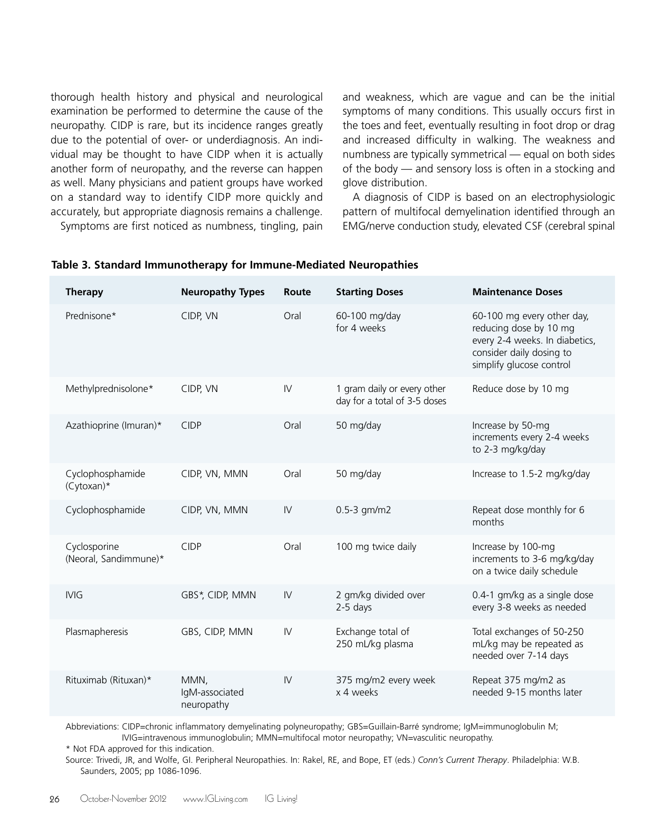thorough health history and physical and neurological examination be performed to determine the cause of the neuropathy. CIDP is rare, but its incidence ranges greatly due to the potential of over- or underdiagnosis. An individual may be thought to have CIDP when it is actually another form of neuropathy, and the reverse can happen as well. Many physicians and patient groups have worked on a standard way to identify CIDP more quickly and accurately, but appropriate diagnosis remains a challenge. Symptoms are first noticed as numbness, tingling, pain

and weakness, which are vague and can be the initial symptoms of many conditions. This usually occurs first in the toes and feet, eventually resulting in foot drop or drag and increased difficulty in walking. The weakness and numbness are typically symmetrical — equal on both sides of the body — and sensory loss is often in a stocking and glove distribution.

A diagnosis of CIDP is based on an electrophysiologic pattern of multifocal demyelination identified through an EMG/nerve conduction study, elevated CSF (cerebral spinal

| <b>Therapy</b>                        | <b>Neuropathy Types</b>              | Route                  | <b>Starting Doses</b>                                       | <b>Maintenance Doses</b>                                                                                                                       |
|---------------------------------------|--------------------------------------|------------------------|-------------------------------------------------------------|------------------------------------------------------------------------------------------------------------------------------------------------|
| Prednisone*                           | CIDP, VN                             | Oral                   | 60-100 mg/day<br>for 4 weeks                                | 60-100 mg every other day,<br>reducing dose by 10 mg<br>every 2-4 weeks. In diabetics,<br>consider daily dosing to<br>simplify glucose control |
| Methylprednisolone*                   | CIDP, VN                             | $\mathsf{I}\mathsf{V}$ | 1 gram daily or every other<br>day for a total of 3-5 doses | Reduce dose by 10 mg                                                                                                                           |
| Azathioprine (Imuran)*                | <b>CIDP</b>                          | Oral                   | 50 mg/day                                                   | Increase by 50-mg<br>increments every 2-4 weeks<br>to 2-3 mg/kg/day                                                                            |
| Cyclophosphamide<br>$(Cytoxan)*$      | CIDP, VN, MMN                        | Oral                   | 50 mg/day                                                   | Increase to 1.5-2 mg/kg/day                                                                                                                    |
| Cyclophosphamide                      | CIDP, VN, MMN                        | $\mathsf{I}\mathsf{V}$ | $0.5 - 3$ gm/m2                                             | Repeat dose monthly for 6<br>months                                                                                                            |
| Cyclosporine<br>(Neoral, Sandimmune)* | <b>CIDP</b>                          | Oral                   | 100 mg twice daily                                          | Increase by 100-mg<br>increments to 3-6 mg/kg/day<br>on a twice daily schedule                                                                 |
| <b>IVIG</b>                           | GBS*, CIDP, MMN                      | $\mathsf{IV}$          | 2 gm/kg divided over<br>$2-5$ days                          | 0.4-1 gm/kg as a single dose<br>every 3-8 weeks as needed                                                                                      |
| Plasmapheresis                        | GBS, CIDP, MMN                       | $\mathsf{I}\mathsf{V}$ | Exchange total of<br>250 mL/kg plasma                       | Total exchanges of 50-250<br>mL/kg may be repeated as<br>needed over 7-14 days                                                                 |
| Rituximab (Rituxan)*                  | MMN,<br>IgM-associated<br>neuropathy | IV                     | 375 mg/m2 every week<br>x 4 weeks                           | Repeat 375 mg/m2 as<br>needed 9-15 months later                                                                                                |

### **Table 3. Standard Immunotherapy for Immune-Mediated Neuropathies**

Abbreviations: CIDP=chronic inflammatory demyelinating polyneuropathy; GBS=Guillain-Barré syndrome; IgM=immunoglobulin M; IVIG=intravenous immunoglobulin; MMN=multifocal motor neuropathy; VN=vasculitic neuropathy.

\* Not FDA approved for this indication.

Source: Trivedi, JR, and Wolfe, GI. Peripheral Neuropathies. In: Rakel, RE, and Bope, ET (eds.) *Conn's Current Therapy*. Philadelphia: W.B. Saunders, 2005; pp 1086-1096.